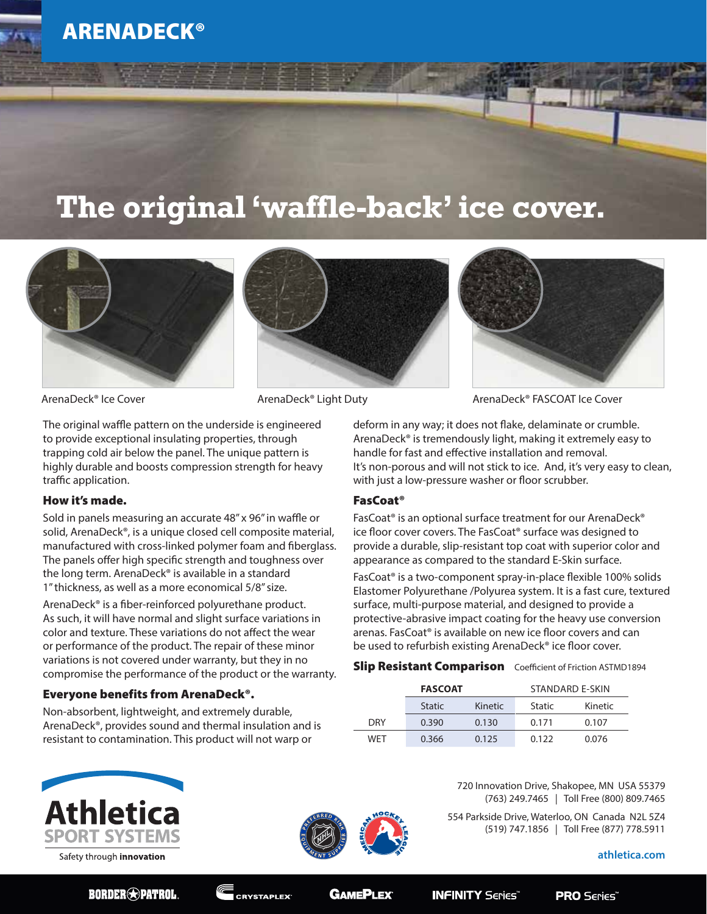# **The original 'waffle-back' ice cover.**







ArenaDeck® Ice Cover **ArenaDeck®** Light Duty ArenaDeck® FASCOAT Ice Cover

The original waffle pattern on the underside is engineered to provide exceptional insulating properties, through trapping cold air below the panel. The unique pattern is highly durable and boosts compression strength for heavy traffic application.

### How it's made.

Sold in panels measuring an accurate 48" x 96" in waffle or solid, ArenaDeck®, is a unique closed cell composite material, manufactured with cross-linked polymer foam and fiberglass. The panels offer high specific strength and toughness over the long term. ArenaDeck® is available in a standard 1" thickness, as well as a more economical 5/8" size.

ArenaDeck® is a fiber-reinforced polyurethane product. As such, it will have normal and slight surface variations in color and texture. These variations do not affect the wear or performance of the product. The repair of these minor variations is not covered under warranty, but they in no compromise the performance of the product or the warranty.

## Everyone benefits from ArenaDeck®.

Non-absorbent, lightweight, and extremely durable, ArenaDeck®, provides sound and thermal insulation and is resistant to contamination. This product will not warp or

deform in any way; it does not flake, delaminate or crumble. ArenaDeck® is tremendously light, making it extremely easy to handle for fast and effective installation and removal. It's non-porous and will not stick to ice. And, it's very easy to clean, with just a low-pressure washer or floor scrubber.

### FasCoat®

FasCoat® is an optional surface treatment for our ArenaDeck® ice floor cover covers. The FasCoat® surface was designed to provide a durable, slip-resistant top coat with superior color and appearance as compared to the standard E-Skin surface.

FasCoat® is a two-component spray-in-place flexible 100% solids Elastomer Polyurethane /Polyurea system. It is a fast cure, textured surface, multi-purpose material, and designed to provide a protective-abrasive impact coating for the heavy use conversion arenas. FasCoat® is available on new ice floor covers and can be used to refurbish existing ArenaDeck® ice floor cover.

### **Slip Resistant Comparison** Coefficient of Friction ASTMD1894

|            | <b>FASCOAT</b> |                | STANDARD F-SKIN |         |
|------------|----------------|----------------|-----------------|---------|
|            | <b>Static</b>  | <b>Kinetic</b> | <b>Static</b>   | Kinetic |
| <b>DRY</b> | 0.390          | 0.130          | 0.171           | 0.107   |
| WFT        | 0.366          | 0.125          | 0.122           | 0.076   |







720 Innovation Drive, Shakopee, MN USA 55379 (763) 249.7465 | Toll Free (800) 809.7465

554 Parkside Drive, Waterloo, ON Canada N2L 5Z4 (519) 747.1856 | Toll Free (877) 778.5911

**athletica.com**

**BORDER**<sup>2</sup>PATROL

**CRYSTAPLEX<sup>®</sup>** 

**GAMEPLEX®** 

**INFINITY Series**